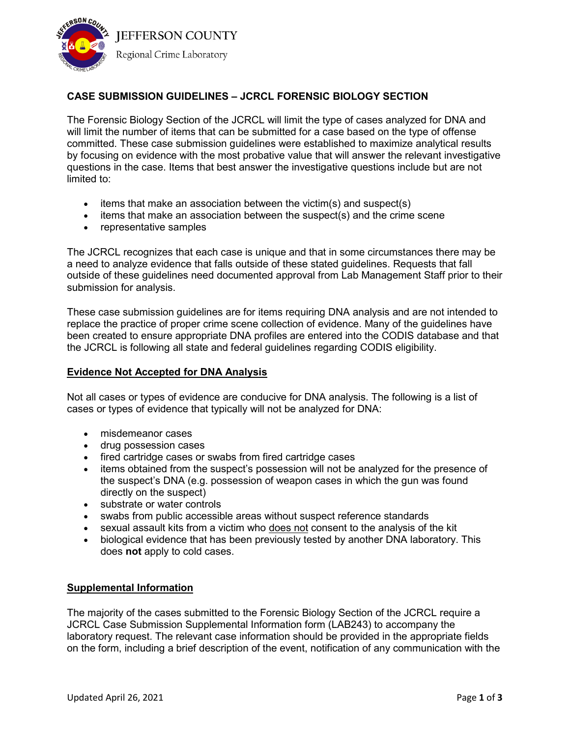

# **CASE SUBMISSION GUIDELINES – JCRCL FORENSIC BIOLOGY SECTION**

The Forensic Biology Section of the JCRCL will limit the type of cases analyzed for DNA and will limit the number of items that can be submitted for a case based on the type of offense committed. These case submission guidelines were established to maximize analytical results by focusing on evidence with the most probative value that will answer the relevant investigative questions in the case. Items that best answer the investigative questions include but are not limited to:

- $\bullet$  items that make an association between the victim(s) and suspect(s)
- items that make an association between the suspect(s) and the crime scene
- representative samples

The JCRCL recognizes that each case is unique and that in some circumstances there may be a need to analyze evidence that falls outside of these stated guidelines. Requests that fall outside of these guidelines need documented approval from Lab Management Staff prior to their submission for analysis.

These case submission guidelines are for items requiring DNA analysis and are not intended to replace the practice of proper crime scene collection of evidence. Many of the guidelines have been created to ensure appropriate DNA profiles are entered into the CODIS database and that the JCRCL is following all state and federal guidelines regarding CODIS eligibility.

### **Evidence Not Accepted for DNA Analysis**

Not all cases or types of evidence are conducive for DNA analysis. The following is a list of cases or types of evidence that typically will not be analyzed for DNA:

- misdemeanor cases
- drug possession cases
- fired cartridge cases or swabs from fired cartridge cases
- items obtained from the suspect's possession will not be analyzed for the presence of the suspect's DNA (e.g. possession of weapon cases in which the gun was found directly on the suspect)
- substrate or water controls
- swabs from public accessible areas without suspect reference standards
- sexual assault kits from a victim who does not consent to the analysis of the kit
- biological evidence that has been previously tested by another DNA laboratory. This does **not** apply to cold cases.

#### **Supplemental Information**

The majority of the cases submitted to the Forensic Biology Section of the JCRCL require a JCRCL Case Submission Supplemental Information form (LAB243) to accompany the laboratory request. The relevant case information should be provided in the appropriate fields on the form, including a brief description of the event, notification of any communication with the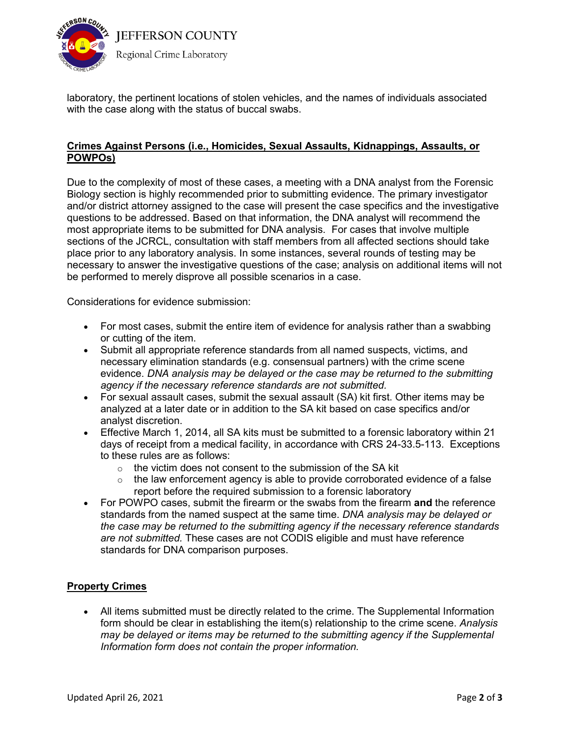

laboratory, the pertinent locations of stolen vehicles, and the names of individuals associated with the case along with the status of buccal swabs.

## **Crimes Against Persons (i.e., Homicides, Sexual Assaults, Kidnappings, Assaults, or POWPOs)**

Due to the complexity of most of these cases, a meeting with a DNA analyst from the Forensic Biology section is highly recommended prior to submitting evidence. The primary investigator and/or district attorney assigned to the case will present the case specifics and the investigative questions to be addressed. Based on that information, the DNA analyst will recommend the most appropriate items to be submitted for DNA analysis. For cases that involve multiple sections of the JCRCL, consultation with staff members from all affected sections should take place prior to any laboratory analysis. In some instances, several rounds of testing may be necessary to answer the investigative questions of the case; analysis on additional items will not be performed to merely disprove all possible scenarios in a case.

Considerations for evidence submission:

- For most cases, submit the entire item of evidence for analysis rather than a swabbing or cutting of the item.
- Submit all appropriate reference standards from all named suspects, victims, and necessary elimination standards (e.g. consensual partners) with the crime scene evidence. *DNA analysis may be delayed or the case may be returned to the submitting agency if the necessary reference standards are not submitted.*
- For sexual assault cases, submit the sexual assault (SA) kit first. Other items may be analyzed at a later date or in addition to the SA kit based on case specifics and/or analyst discretion.
- Effective March 1, 2014, all SA kits must be submitted to a forensic laboratory within 21 days of receipt from a medical facility, in accordance with CRS 24-33.5-113. Exceptions to these rules are as follows:
	- $\circ$  the victim does not consent to the submission of the SA kit
	- $\circ$  the law enforcement agency is able to provide corroborated evidence of a false report before the required submission to a forensic laboratory
- For POWPO cases, submit the firearm or the swabs from the firearm **and** the reference standards from the named suspect at the same time. *DNA analysis may be delayed or the case may be returned to the submitting agency if the necessary reference standards are not submitted.* These cases are not CODIS eligible and must have reference standards for DNA comparison purposes.

## **Property Crimes**

• All items submitted must be directly related to the crime. The Supplemental Information form should be clear in establishing the item(s) relationship to the crime scene. *Analysis may be delayed or items may be returned to the submitting agency if the Supplemental Information form does not contain the proper information.*